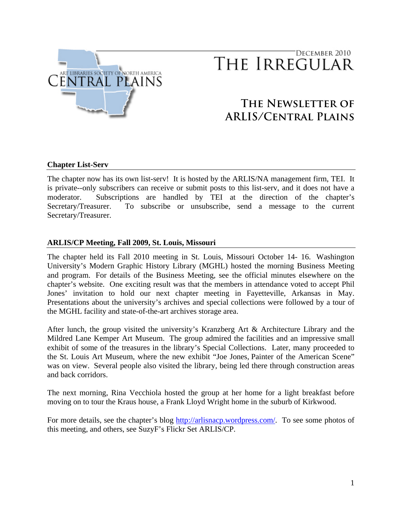

# DECEMBER 2010 THE IRREGULAR

# **The Newsletter of ARLIS/Central Plains**

## **Chapter List-Serv**

The chapter now has its own list-serv! It is hosted by the ARLIS/NA management firm, TEI. It is private--only subscribers can receive or submit posts to this list-serv, and it does not have a moderator. Subscriptions are handled by TEI at the direction of the chapter's Secretary/Treasurer. To subscribe or unsubscribe, send a message to the current Secretary/Treasurer.

#### **ARLIS/CP Meeting, Fall 2009, St. Louis, Missouri**

The chapter held its Fall 2010 meeting in St. Louis, Missouri October 14- 16. Washington University's Modern Graphic History Library (MGHL) hosted the morning Business Meeting and program. For details of the Business Meeting, see the official minutes elsewhere on the chapter's website. One exciting result was that the members in attendance voted to accept Phil Jones' invitation to hold our next chapter meeting in Fayetteville, Arkansas in May. Presentations about the university's archives and special collections were followed by a tour of the MGHL facility and state-of-the-art archives storage area.

After lunch, the group visited the university's Kranzberg Art & Architecture Library and the Mildred Lane Kemper Art Museum. The group admired the facilities and an impressive small exhibit of some of the treasures in the library's Special Collections. Later, many proceeded to the St. Louis Art Museum, where the new exhibit "Joe Jones, Painter of the American Scene" was on view. Several people also visited the library, being led there through construction areas and back corridors.

The next morning, Rina Vecchiola hosted the group at her home for a light breakfast before moving on to tour the Kraus house, a Frank Lloyd Wright home in the suburb of Kirkwood.

For more details, see the chapter's blog <http://arlisnacp.wordpress.com/>. To see some photos of this meeting, and others, see SuzyF's Flickr Set ARLIS/CP.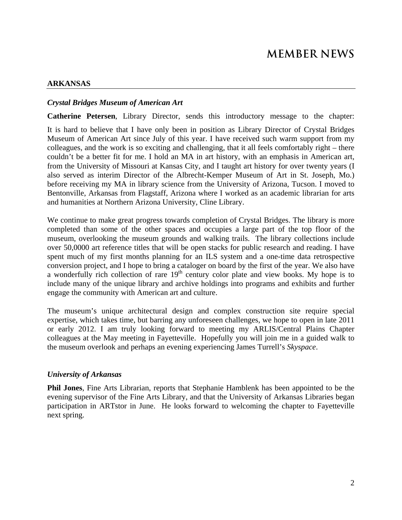# **ARKANSAS**

#### *Crystal Bridges Museum of American Art*

**Catherine Petersen**, Library Director, sends this introductory message to the chapter:

It is hard to believe that I have only been in position as Library Director of Crystal Bridges Museum of American Art since July of this year. I have received such warm support from my colleagues, and the work is so exciting and challenging, that it all feels comfortably right – there couldn't be a better fit for me. I hold an MA in art history, with an emphasis in American art, from the University of Missouri at Kansas City, and I taught art history for over twenty years (I also served as interim Director of the Albrecht-Kemper Museum of Art in St. Joseph, Mo.) before receiving my MA in library science from the University of Arizona, Tucson. I moved to Bentonville, Arkansas from Flagstaff, Arizona where I worked as an academic librarian for arts and humanities at Northern Arizona University, Cline Library.

We continue to make great progress towards completion of Crystal Bridges. The library is more completed than some of the other spaces and occupies a large part of the top floor of the museum, overlooking the museum grounds and walking trails. The library collections include over 50,0000 art reference titles that will be open stacks for public research and reading. I have spent much of my first months planning for an ILS system and a one-time data retrospective conversion project, and I hope to bring a cataloger on board by the first of the year. We also have a wonderfully rich collection of rare  $19<sup>th</sup>$  century color plate and view books. My hope is to include many of the unique library and archive holdings into programs and exhibits and further engage the community with American art and culture.

The museum's unique architectural design and complex construction site require special expertise, which takes time, but barring any unforeseen challenges, we hope to open in late 2011 or early 2012. I am truly looking forward to meeting my ARLIS/Central Plains Chapter colleagues at the May meeting in Fayetteville. Hopefully you will join me in a guided walk to the museum overlook and perhaps an evening experiencing James Turrell's *Skyspace*.

#### *University of Arkansas*

**Phil Jones**, Fine Arts Librarian, reports that Stephanie Hamblenk has been appointed to be the evening supervisor of the Fine Arts Library, and that the University of Arkansas Libraries began participation in ARTstor in June. He looks forward to welcoming the chapter to Fayetteville next spring.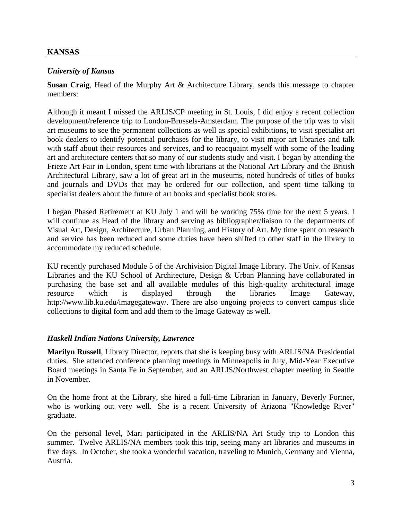#### **KANSAS**

#### *University of Kansas*

**Susan Craig**, Head of the Murphy Art & Architecture Library, sends this message to chapter members:

Although it meant I missed the ARLIS/CP meeting in St. Louis, I did enjoy a recent collection development/reference trip to London-Brussels-Amsterdam. The purpose of the trip was to visit art museums to see the permanent collections as well as special exhibitions, to visit specialist art book dealers to identify potential purchases for the library, to visit major art libraries and talk with staff about their resources and services, and to reacquaint myself with some of the leading art and architecture centers that so many of our students study and visit. I began by attending the Frieze Art Fair in London, spent time with librarians at the National Art Library and the British Architectural Library, saw a lot of great art in the museums, noted hundreds of titles of books and journals and DVDs that may be ordered for our collection, and spent time talking to specialist dealers about the future of art books and specialist book stores.

I began Phased Retirement at KU July 1 and will be working 75% time for the next 5 years. I will continue as Head of the library and serving as bibliographer/liaison to the departments of Visual Art, Design, Architecture, Urban Planning, and History of Art. My time spent on research and service has been reduced and some duties have been shifted to other staff in the library to accommodate my reduced schedule.

KU recently purchased Module 5 of the Archivision Digital Image Library. The Univ. of Kansas Libraries and the KU School of Architecture, Design & Urban Planning have collaborated in purchasing the base set and all available modules of this high-quality architectural image resource which is displayed through the libraries Image Gateway, [http://www.lib.ku.edu/imagegateway/.](http://www.lib.ku.edu/imagegateway/) There are also ongoing projects to convert campus slide collections to digital form and add them to the Image Gateway as well.

#### *Haskell Indian Nations University, Lawrence*

**Marilyn Russell**, Library Director, reports that she is keeping busy with ARLIS/NA Presidential duties. She attended conference planning meetings in Minneapolis in July, Mid-Year Executive Board meetings in Santa Fe in September, and an ARLIS/Northwest chapter meeting in Seattle in November.

On the home front at the Library, she hired a full-time Librarian in January, Beverly Fortner, who is working out very well. She is a recent University of Arizona "Knowledge River" graduate.

On the personal level, Mari participated in the ARLIS/NA Art Study trip to London this summer. Twelve ARLIS/NA members took this trip, seeing many art libraries and museums in five days. In October, she took a wonderful vacation, traveling to Munich, Germany and Vienna, Austria.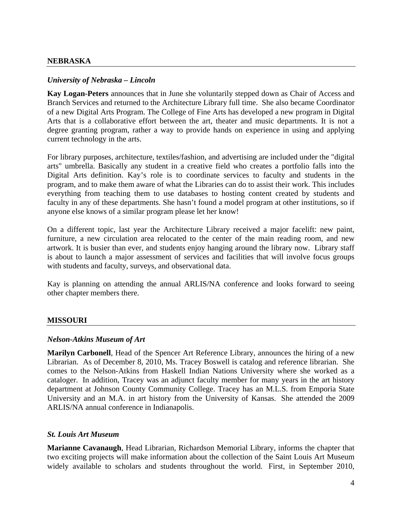#### *University of Nebraska – Lincoln*

**Kay Logan-Peters** announces that in June she voluntarily stepped down as Chair of Access and Branch Services and returned to the Architecture Library full time. She also became Coordinator of a new Digital Arts Program. The College of Fine Arts has developed a new program in Digital Arts that is a collaborative effort between the art, theater and music departments. It is not a degree granting program, rather a way to provide hands on experience in using and applying current technology in the arts.

For library purposes, architecture, textiles/fashion, and advertising are included under the "digital arts" umbrella. Basically any student in a creative field who creates a portfolio falls into the Digital Arts definition. Kay's role is to coordinate services to faculty and students in the program, and to make them aware of what the Libraries can do to assist their work. This includes everything from teaching them to use databases to hosting content created by students and faculty in any of these departments. She hasn't found a model program at other institutions, so if anyone else knows of a similar program please let her know!

On a different topic, last year the Architecture Library received a major facelift: new paint, furniture, a new circulation area relocated to the center of the main reading room, and new artwork. It is busier than ever, and students enjoy hanging around the library now. Library staff is about to launch a major assessment of services and facilities that will involve focus groups with students and faculty, surveys, and observational data.

Kay is planning on attending the annual ARLIS/NA conference and looks forward to seeing other chapter members there.

#### **MISSOURI**

#### *Nelson-Atkins Museum of Art*

**Marilyn Carbonell**, Head of the Spencer Art Reference Library, announces the hiring of a new Librarian. As of December 8, 2010, Ms. Tracey Boswell is catalog and reference librarian. She comes to the Nelson-Atkins from Haskell Indian Nations University where she worked as a cataloger. In addition, Tracey was an adjunct faculty member for many years in the art history department at Johnson County Community College. Tracey has an M.L.S. from Emporia State University and an M.A. in art history from the University of Kansas. She attended the 2009 ARLIS/NA annual conference in Indianapolis.

#### *St. Louis Art Museum*

**Marianne Cavanaugh**, Head Librarian, Richardson Memorial Library, informs the chapter that two exciting projects will make information about the collection of the Saint Louis Art Museum widely available to scholars and students throughout the world. First, in September 2010,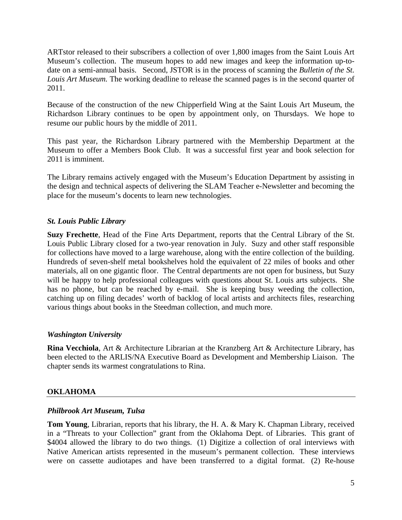ARTstor released to their subscribers a collection of over 1,800 images from the Saint Louis Art Museum's collection. The museum hopes to add new images and keep the information up-todate on a semi-annual basis. Second, JSTOR is in the process of scanning the *Bulletin of the St. Louis Art Museum.* The working deadline to release the scanned pages is in the second quarter of 2011.

Because of the construction of the new Chipperfield Wing at the Saint Louis Art Museum, the Richardson Library continues to be open by appointment only, on Thursdays. We hope to resume our public hours by the middle of 2011.

This past year, the Richardson Library partnered with the Membership Department at the Museum to offer a Members Book Club. It was a successful first year and book selection for 2011 is imminent.

The Library remains actively engaged with the Museum's Education Department by assisting in the design and technical aspects of delivering the SLAM Teacher e-Newsletter and becoming the place for the museum's docents to learn new technologies.

# *St. Louis Public Library*

**Suzy Frechette**, Head of the Fine Arts Department, reports that the Central Library of the St. Louis Public Library closed for a two-year renovation in July. Suzy and other staff responsible for collections have moved to a large warehouse, along with the entire collection of the building. Hundreds of seven-shelf metal bookshelves hold the equivalent of 22 miles of books and other materials, all on one gigantic floor. The Central departments are not open for business, but Suzy will be happy to help professional colleagues with questions about St. Louis arts subjects. She has no phone, but can be reached by e-mail. She is keeping busy weeding the collection, catching up on filing decades' worth of backlog of local artists and architects files, researching various things about books in the Steedman collection, and much more.

## *Washington University*

**Rina Vecchiola**, Art & Architecture Librarian at the Kranzberg Art & Architecture Library, has been elected to the ARLIS/NA Executive Board as Development and Membership Liaison. The chapter sends its warmest congratulations to Rina.

## **OKLAHOMA**

## *Philbrook Art Museum, Tulsa*

**Tom Young**, Librarian, reports that his library, the H. A. & Mary K. Chapman Library, received in a "Threats to your Collection" grant from the Oklahoma Dept. of Libraries. This grant of \$4004 allowed the library to do two things. (1) Digitize a collection of oral interviews with Native American artists represented in the museum's permanent collection. These interviews were on cassette audiotapes and have been transferred to a digital format. (2) Re-house